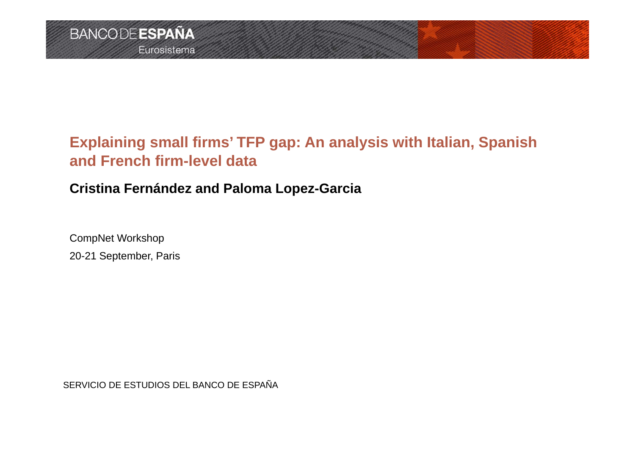# **Explaining small firms' TFP gap: An analysis with Italian, Spanish and French firm-level data**

# **Cristina Fernández and Paloma Lopez-Garcia**

CompNet Workshop 20-21 September, Paris

SERVICIO DE ESTUDIOS DEL BANCO DE ESPAÑA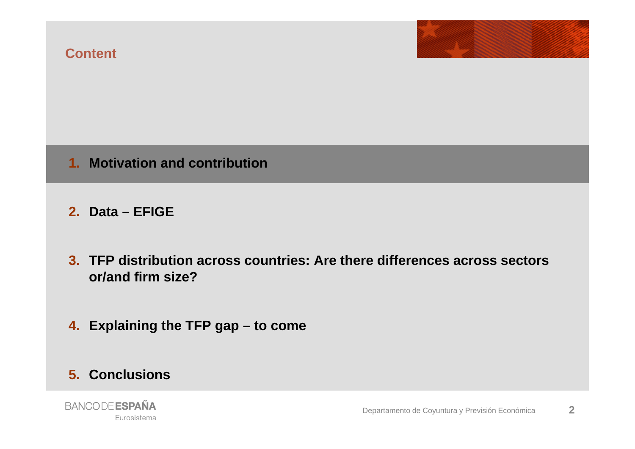

## **1. Motivation and contribution**

**2. Data – EFIGE**

- **3. TFP distribution across countries: Are there differences across sectors or/and firm size?**
- **4. Explaining the TFP gap – to come**

#### **5. Conclusions**

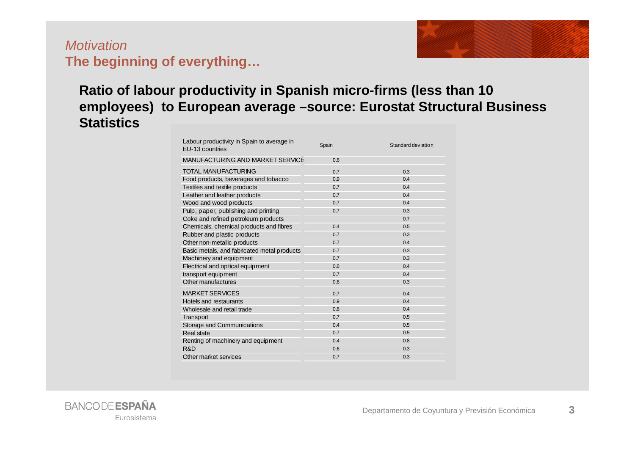## *Motivation***The beginning of everything…**



## **Ratio of labour productivity in Spanish micro-firms (less than 10 employees) to European average –source: Eurostat Structural Business Statistics**

| Labour productivity in Spain to average in<br>EU-13 countries | Spain | Standard deviation |
|---------------------------------------------------------------|-------|--------------------|
| MANUFACTURING AND MARKET SERVICE                              | 0.6   |                    |
| <b>TOTAL MANUFACTURING</b>                                    | 0.7   | 0.3                |
| Food products, beverages and tobacco                          | 0.9   | 0.4                |
| Textiles and textile products                                 | 0.7   | 0.4                |
| Leather and leather products                                  | 0.7   | 0.4                |
| Wood and wood products                                        | 0.7   | 0.4                |
| Pulp, paper, publishing and printing                          | 0.7   | 0.3                |
| Coke and refined petroleum products                           |       | 0.7                |
| Chemicals, chemical products and fibres                       | 0.4   | 0.5                |
| Rubber and plastic products                                   | 0.7   | 0.3                |
| Other non-metallic products                                   | 0.7   | 0.4                |
| Basic metals, and fabricated metal products                   | 0.7   | 0.3                |
| Machinery and equipment                                       | 0.7   | 0.3                |
| Electrical and optical equipment                              | 0.6   | 0.4                |
| transport equipment                                           | 0.7   | 0.4                |
| Other manufactures                                            | 0.6   | 0.3                |
| <b>MARKET SERVICES</b>                                        | 0.7   | 0.4                |
| Hotels and restaurants                                        | 0.9   | 0.4                |
| Wholesale and retail trade                                    | 0.8   | 0.4                |
| Transport                                                     | 0.7   | 0.5                |
| Storage and Communications                                    | 0.4   | 0.5                |
| Real state                                                    | 0.7   | 0.5                |
| Renting of machinery and equipment                            | 0.4   | 0.8                |
| R&D                                                           | 0.6   | 0.3                |
| Other market services                                         | 0.7   | 0.3                |

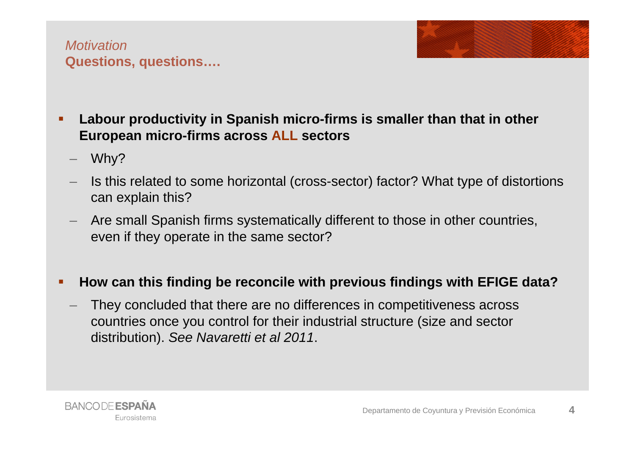

- **Labour productivity in Spanish micro-firms is smaller than that in other European micro-firms across ALL sectors**
	- Why?
	- Is this related to some horizontal (cross-sector) factor? What type of distortions can explain this?
	- Are small Spanish firms systematically different to those in other countries, even if they operate in the same sector?

#### Г **How can this finding be reconcile with previous findings with EFIGE data?**

 They concluded that there are no differences in competitiveness across countries once you control for their industrial structure (size and sector distribution). *See Navaretti et al 2011*.

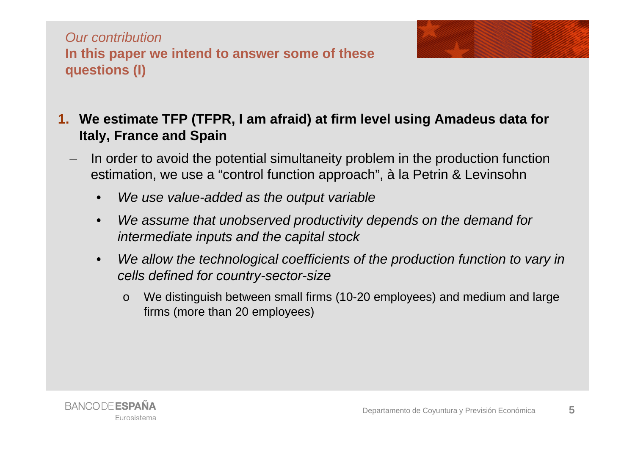*Our contribution***In this paper we intend to answer some of these questions (I)**



- **1. We estimate TFP (TFPR, I am afraid) at firm level using Amadeus data for Italy, France and Spain**
	- In order to avoid the potential simultaneity problem in the production function estimation, we use a "control function approach", à la Petrin & Levinsohn
		- •*We use value-added as the output variable*
		- • *We assume that unobserved productivity depends on the demand for intermediate inputs and the capital stock*
		- •We allow the technological coefficients of the production function to vary in *cells defined for country-sector-size* 
			- o We distinguish between small firms (10-20 employees) and medium and large firms (more than 20 employees)

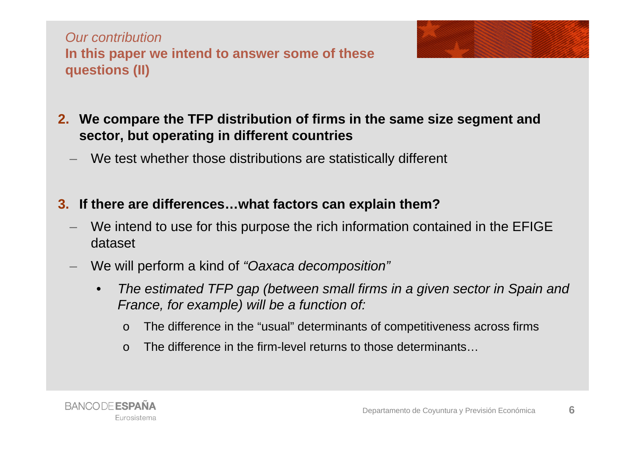*Our contribution***In this paper we intend to answer some of these questions (II)**



- **2. We compare the TFP distribution of firms in the same size segment and sector, but operating in different countries**
	- We test whether those distributions are statistically different
- **3. If there are differences…what factors can explain them?**
	- We intend to use for this purpose the rich information contained in the EFIGE dataset
	- We will perform a kind of *"Oaxaca decomposition"*
		- • *The estimated TFP gap (between small firms in a given sector in Spain and France, for example) will be a function of:*
			- $\Omega$ The difference in the "usual" determinants of competitiveness across firms
			- $\Omega$ The difference in the firm-level returns to those determinants…

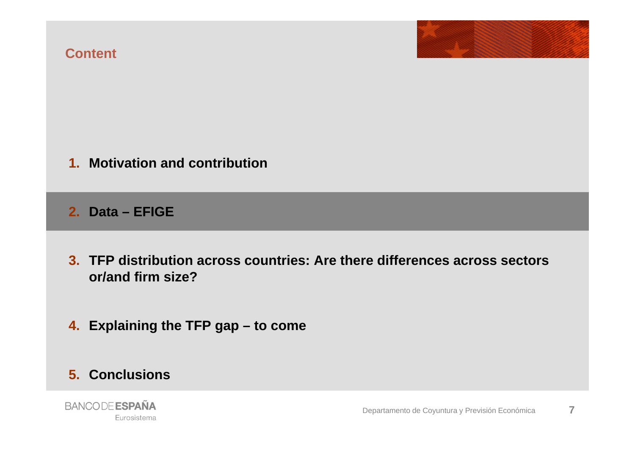#### **Content**



#### **1. Motivation and contribution**

**2. Data – EFIGE**

- **3. TFP distribution across countries: Are there differences across sectors or/and firm size?**
- **4. Explaining the TFP gap – to come**

#### **5. Conclusions**

**BANCODE ESPAÑA** Eurosistema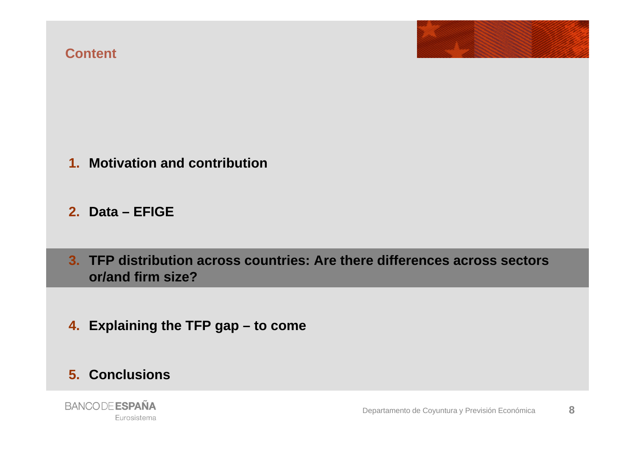#### **Content**



#### **1. Motivation and contribution**

#### **2. Data – EFIGE**

**3. TFP distribution across countries: Are there differences across sectors or/and firm size?**

**4. Explaining the TFP gap – to come**

#### **5. Conclusions**

**BANCODE ESPAÑA** Eurosistema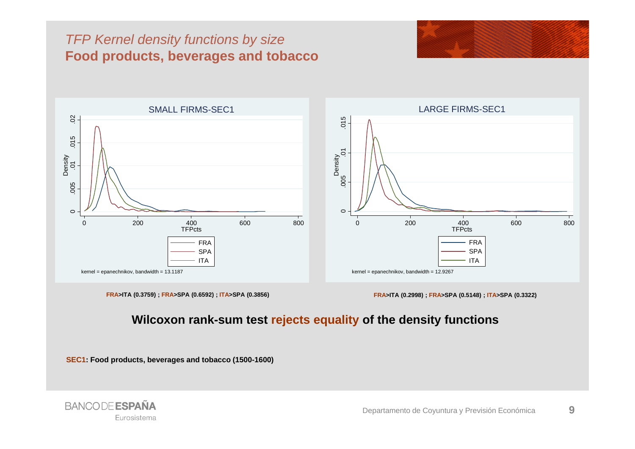## *TFP Kernel density functions by size*  **Food products, beverages and tobacco**





**FRA>ITA (0.3759) ; FRA>SPA (0.6592) ; ITA>SPA (0.3856) FRA>ITA (0.2998) ; FRA>SPA (0.5148) ; ITA>SPA (0.3322)**

#### **Wilcoxon rank-sum test rejects equality of the density functions**

**SEC1: Food products, beverages and tobacco (1500-1600)**

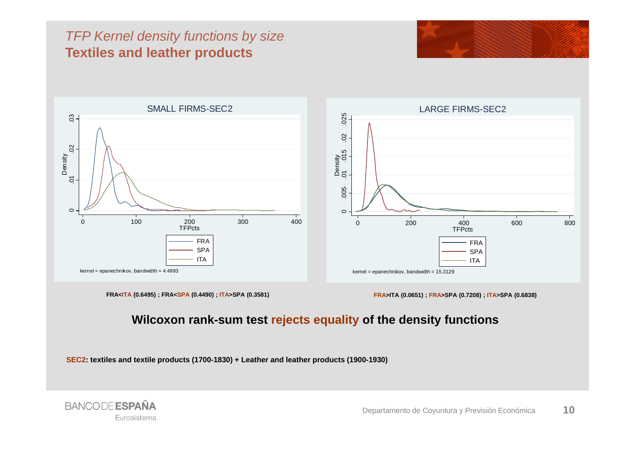## *TFP Kernel density functions by size*  **Textiles and leather products**





**FRA<ITA** (0.6495); FRA<SPA (0.4490); ITA>SPA (0.3581)

**(0.6495) ; FRA<SPA (0.4490) ; ITA>SPA (0.3581) FRA>ITA (0.0651) ; FRA>SPA (0.7208) ; ITA>SPA (0.6838)**

#### **Wilcoxon rank-sum test rejects equality of the density functions**

**SEC2: textiles and textile products (1700-1830) + Leather and leather products (1900-1930)**

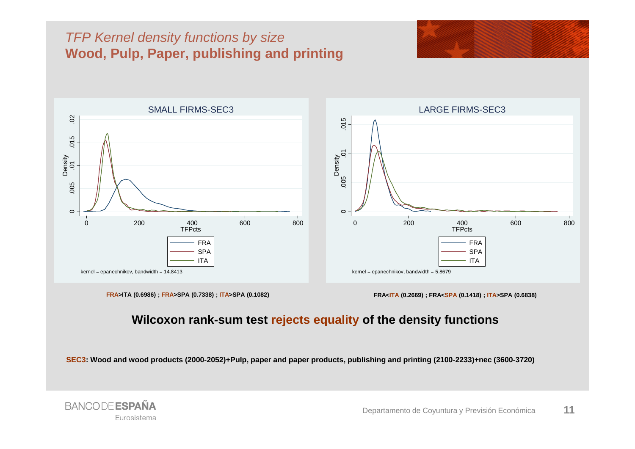## *TFP Kernel density functions by size*  **Wood, Pulp, Paper, publishing and printing**





**FRA>ITA (0.6986) ; FRA>SPA (0.7338) ; ITA>SPA (0.1082) FRA<ITA (0.2669) ; FRA<SPA (0.1418) ; ITA>SPA (0.6838)**

#### **Wilcoxon rank-sum test rejects equality of the density functions**

**SEC3: Wood and wood products (2000-2052)+Pulp, paper and paper products, publishing and printing (2100-2233)+nec (3600-3720)**

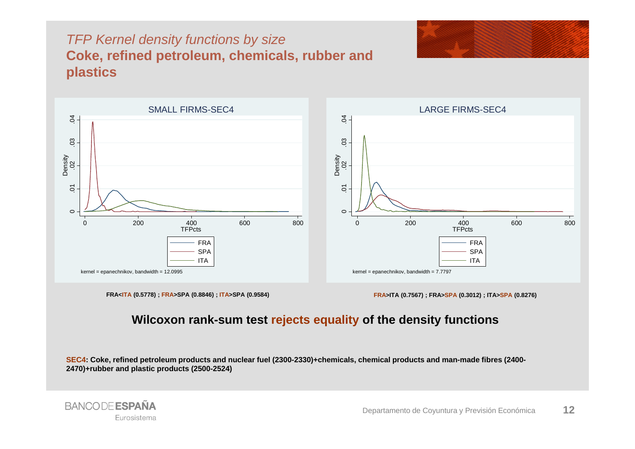## *TFP Kernel density functions by size*  **Coke, refined petroleum, chemicals, rubber and plastics**





FRA<ITA (0.5778); FRA>SPA (0.8846); ITA>SPA (0.9584)

**(0.5778) ; FRA>SPA (0.8846) ; ITA>SPA (0.9584) FRA>ITA (0.7567) ; FRA>SPA (0.3012) ; ITA>SPA (0.8276)**

#### **Wilcoxon rank-sum test rejects equality of the density functions**

**SEC4: Coke, refined petroleum products and nuclear fuel (2300-2330)+chemicals, chemical products and man-made fibres (2400- 2470)+rubber and plastic products (2500-2524)**

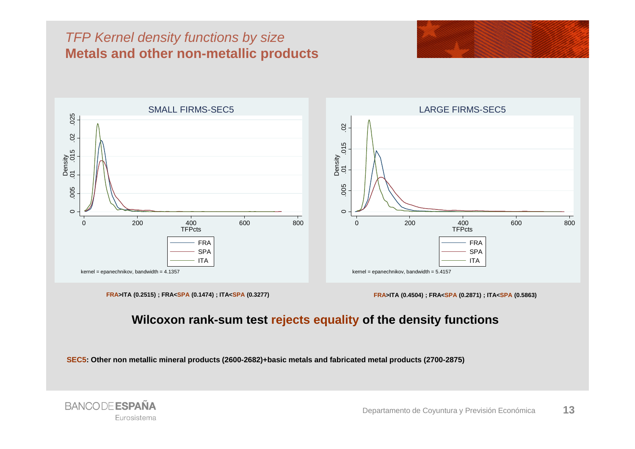## *TFP Kernel density functions by size*  **Metals and other non-metallic products**





**FRA>ITA (0.2515) ; FRA<SPA (0.1474) ; ITA<SPA (0.3277) FRA>ITA (0.4504) ; FRA<SPA (0.2871) ; ITA<SPA (0.5863)**

#### **Wilcoxon rank-sum test rejects equality of the density functions**

**SEC5: Other non metallic mineral products (2600-2682)+basic metals and fabricated metal products (2700-2875)**

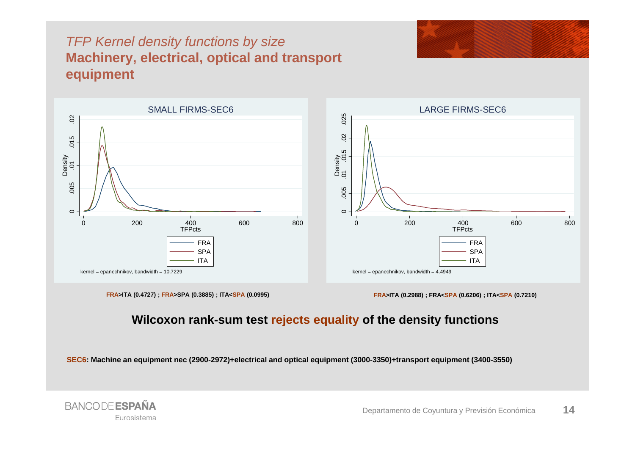## *TFP Kernel density functions by size*  **Machinery, electrical, optical and transport equipment**





**FRA>ITA (0.4727) ; FRA>SPA (0.3885) ; ITA<SPA (0.0995) FRA>ITA (0.2988) ; FRA<SPA (0.6206) ; ITA<SPA (0.7210)**

**BANCODE ESPAÑA** 

Eurosistema

#### **Wilcoxon rank-sum test rejects equality of the density functions**

**SEC6: Machine an equipment nec (2900-2972)+electrical and optical equipment (3000-3350)+transport equipment (3400-3550)**